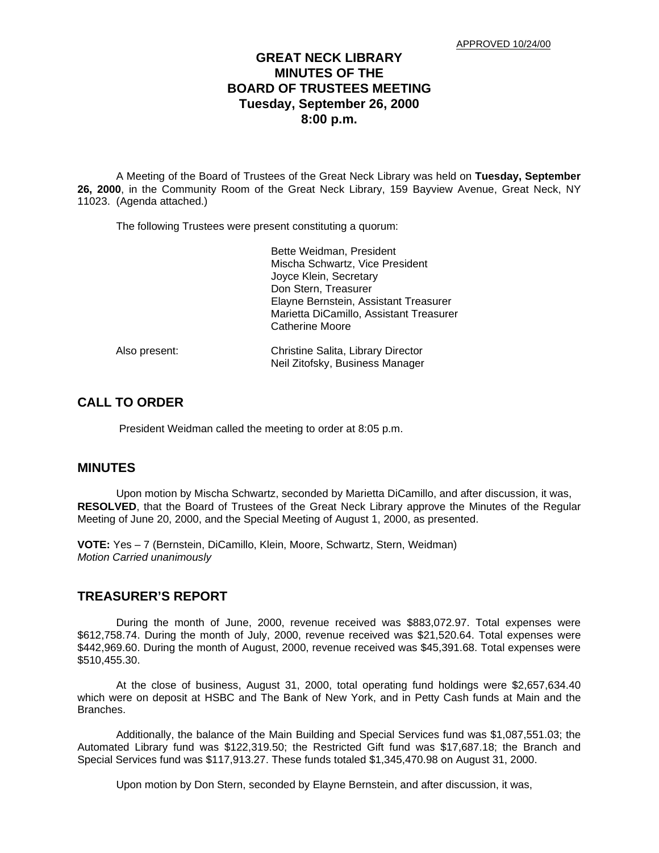## **GREAT NECK LIBRARY MINUTES OF THE BOARD OF TRUSTEES MEETING Tuesday, September 26, 2000 8:00 p.m.**

A Meeting of the Board of Trustees of the Great Neck Library was held on **Tuesday, September 26, 2000**, in the Community Room of the Great Neck Library, 159 Bayview Avenue, Great Neck, NY 11023. (Agenda attached.)

The following Trustees were present constituting a quorum:

|               | Bette Weidman, President                                              |
|---------------|-----------------------------------------------------------------------|
|               | Mischa Schwartz, Vice President<br>Joyce Klein, Secretary             |
|               | Don Stern, Treasurer                                                  |
|               | Elayne Bernstein, Assistant Treasurer                                 |
|               | Marietta DiCamillo, Assistant Treasurer                               |
|               | Catherine Moore                                                       |
| Also present: | Christine Salita, Library Director<br>Neil Zitofsky, Business Manager |

# **CALL TO ORDER**

President Weidman called the meeting to order at 8:05 p.m.

#### **MINUTES**

Upon motion by Mischa Schwartz, seconded by Marietta DiCamillo, and after discussion, it was, **RESOLVED**, that the Board of Trustees of the Great Neck Library approve the Minutes of the Regular Meeting of June 20, 2000, and the Special Meeting of August 1, 2000, as presented.

**VOTE:** Yes – 7 (Bernstein, DiCamillo, Klein, Moore, Schwartz, Stern, Weidman) *Motion Carried unanimously*

#### **TREASURER'S REPORT**

During the month of June, 2000, revenue received was \$883,072.97. Total expenses were \$612,758.74. During the month of July, 2000, revenue received was \$21,520.64. Total expenses were \$442,969.60. During the month of August, 2000, revenue received was \$45,391.68. Total expenses were \$510,455.30.

At the close of business, August 31, 2000, total operating fund holdings were \$2,657,634.40 which were on deposit at HSBC and The Bank of New York, and in Petty Cash funds at Main and the Branches.

Additionally, the balance of the Main Building and Special Services fund was \$1,087,551.03; the Automated Library fund was \$122,319.50; the Restricted Gift fund was \$17,687.18; the Branch and Special Services fund was \$117,913.27. These funds totaled \$1,345,470.98 on August 31, 2000.

Upon motion by Don Stern, seconded by Elayne Bernstein, and after discussion, it was,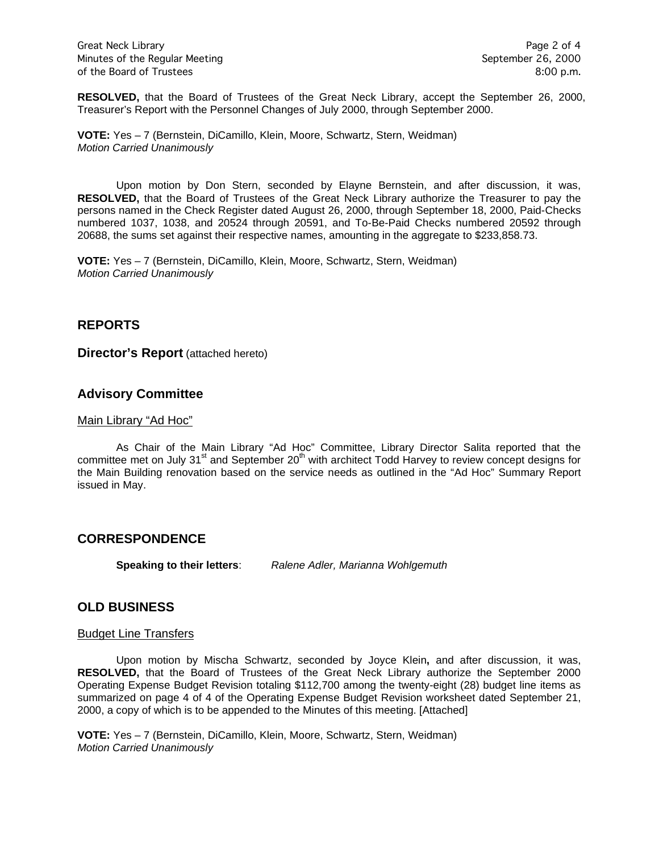**RESOLVED,** that the Board of Trustees of the Great Neck Library, accept the September 26, 2000, Treasurer's Report with the Personnel Changes of July 2000, through September 2000.

**VOTE:** Yes – 7 (Bernstein, DiCamillo, Klein, Moore, Schwartz, Stern, Weidman) *Motion Carried Unanimously*

Upon motion by Don Stern, seconded by Elayne Bernstein, and after discussion, it was, **RESOLVED,** that the Board of Trustees of the Great Neck Library authorize the Treasurer to pay the persons named in the Check Register dated August 26, 2000, through September 18, 2000, Paid-Checks numbered 1037, 1038, and 20524 through 20591, and To-Be-Paid Checks numbered 20592 through 20688, the sums set against their respective names, amounting in the aggregate to \$233,858.73.

**VOTE:** Yes – 7 (Bernstein, DiCamillo, Klein, Moore, Schwartz, Stern, Weidman) *Motion Carried Unanimously*

### **REPORTS**

**Director's Report** (attached hereto)

## **Advisory Committee**

#### Main Library "Ad Hoc"

As Chair of the Main Library "Ad Hoc" Committee, Library Director Salita reported that the committee met on July 31 $^{\text{st}}$  and September 20<sup>th</sup> with architect Todd Harvey to review concept designs for the Main Building renovation based on the service needs as outlined in the "Ad Hoc" Summary Report issued in May.

### **CORRESPONDENCE**

**Speaking to their letters**: *Ralene Adler, Marianna Wohlgemuth*

## **OLD BUSINESS**

#### **Budget Line Transfers**

Upon motion by Mischa Schwartz, seconded by Joyce Klein**,** and after discussion, it was, **RESOLVED,** that the Board of Trustees of the Great Neck Library authorize the September 2000 Operating Expense Budget Revision totaling \$112,700 among the twenty-eight (28) budget line items as summarized on page 4 of 4 of the Operating Expense Budget Revision worksheet dated September 21, 2000, a copy of which is to be appended to the Minutes of this meeting. [Attached]

**VOTE:** Yes – 7 (Bernstein, DiCamillo, Klein, Moore, Schwartz, Stern, Weidman) *Motion Carried Unanimously*